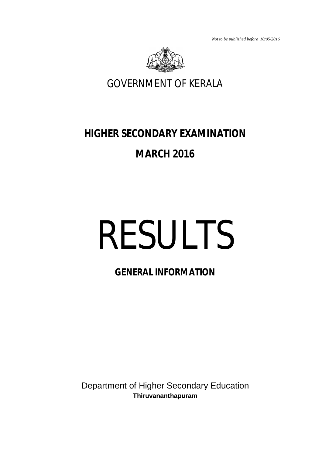*Not to be published before 10/05/2016*



GOVERNMENT OF KERALA

# **HIGHER SECONDARY EXAMINATION**

# **MARCH 2016**

# RESULTS

# **GENERAL INFORMATION**

Department of Higher Secondary Education **Thiruvananthapuram**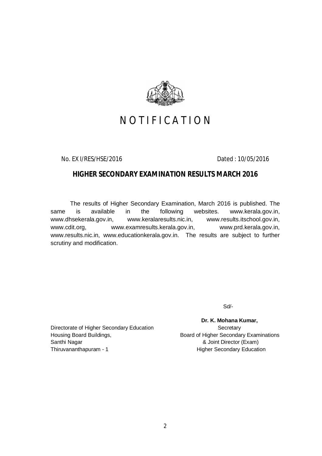

# NOTIFICATION

No. EX I/RES/HSE/2016 Dated : 10/05/2016

# **HIGHER SECONDARY EXAMINATION RESULTS MARCH 2016**

The results of Higher Secondary Examination, March 2016 is published. The same is available in the following websites. www.kerala.gov.in, www.dhsekerala.gov.in, www.keralaresults.nic.in, www.results.itschool.gov.in, www.cdit.org, www.examresults.kerala.gov.in, www.prd.kerala.gov.in, www.results.nic.in, www.educationkerala.gov.in. The results are subject to further scrutiny and modification.

Sd/-

Directorate of Higher Secondary Education Secretary Housing Board Buildings, The Board of Higher Secondary Examinations Santhi Nagar **Branch Communist Communist Communist Communist Communist Communist Communist Communist Communist Communist Communist Communist Communist Communist Communist Communist Communist Communist Communist Communist C** Thiruvananthapuram - 1 1 and 1 and 1 Higher Secondary Education

 **Dr. K. Mohana Kumar,**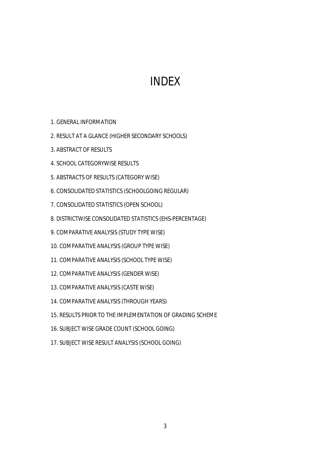# INDEX

- 1. GENERAL INFORMATION
- 2. RESULT AT A GLANCE (HIGHER SECONDARY SCHOOLS)
- 3. ABSTRACT OF RESULTS
- 4. SCHOOL CATEGORYWISE RESULTS
- 5. ABSTRACTS OF RESULTS (CATEGORY WISE)
- 6. CONSOLIDATED STATISTICS (SCHOOLGOING REGULAR)
- 7. CONSOLIDATED STATISTICS (OPEN SCHOOL)
- 8. DISTRICTWISE CONSOLIDATED STATISTICS (EHS-PERCENTAGE)
- 9. COMPARATIVE ANALYSIS (STUDY TYPE WISE)
- 10. COMPARATIVE ANALYSIS (GROUP TYPE WISE)
- 11. COMPARATIVE ANALYSIS (SCHOOL TYPE WISE)
- 12. COMPARATIVE ANALYSIS (GENDER WISE)
- 13. COMPARATIVE ANALYSIS (CASTE WISE)
- 14. COMPARATIVE ANALYSIS (THROUGH YEARS)
- 15. RESULTS PRIOR TO THE IMPLEMENTATION OF GRADING SCHEME
- 16. SUBJECT WISE GRADE COUNT (SCHOOL GOING)
- 17. SUBJECT WISE RESULT ANALYSIS (SCHOOL GOING)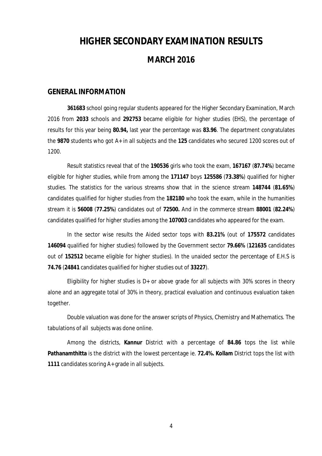# **HIGHER SECONDARY EXAMINATION RESULTS MARCH 2016**

### **GENERAL INFORMATION**

**361683** school going regular students appeared for the Higher Secondary Examination, March 2016 from **2033** schools and **292753** became eligible for higher studies (EHS), the percentage of results for this year being **80.94,** last year the percentage was **83.96**. The department congratulates the **9870** students who got A+ in all subjects and the **125** candidates who secured 1200 scores out of 1200.

Result statistics reveal that of the **190536** girls who took the exam, **167167** (**87.74%**) became eligible for higher studies, while from among the **171147** boys **125586** (**73.38%**) qualified for higher studies. The statistics for the various streams show that in the science stream **148744** (**81.65%**) candidates qualified for higher studies from the **182180** who took the exam, while in the humanities stream it is **56008** (**77.25%**) candidates out of **72500.** And in the commerce stream **88001** (**82.24%**) candidates qualified for higher studies among the **107003** candidates who appeared for the exam.

In the sector wise results the Aided sector tops with **83.21%** (out of **175572** candidates **146094** qualified for higher studies) followed by the Government sector **79.66%** (**121635** candidates out of **152512** became eligible for higher studies). In the unaided sector the percentage of E.H.S is **74.76** (**24841** candidates qualified for higher studies out of **33227**).

Eligibility for higher studies is  $D+$  or above grade for all subjects with 30% scores in theory alone and an aggregate total of 30% in theory, practical evaluation and continuous evaluation taken together.

Double valuation was done for the answer scripts of Physics, Chemistry and Mathematics. The tabulations of all subjects was done online.

Among the districts, **Kannur** District with a percentage of **84.86** tops the list while **Pathanamthitta** is the district with the lowest percentage ie. **72.4%. Kollam** District tops the list with **1111** candidates scoring A+ grade in all subjects.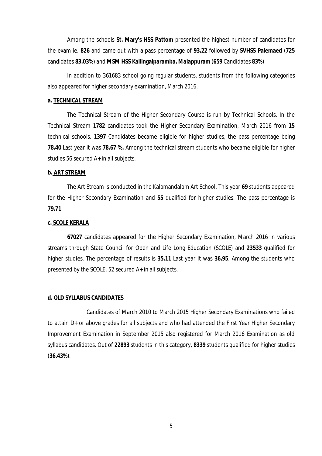Among the schools **St. Mary's HSS Pattom** presented the highest number of candidates for the exam ie. **826** and came out with a pass percentage of **93.22** followed by **SVHSS Palemaed** (**725** candidates **83.03%**) and **MSM HSS Kallingalparamba, Malappuram** (**659** Candidates **83%**)

In addition to 361683 school going regular students, students from the following categories also appeared for higher secondary examination, March 2016.

### **a. TECHNICAL STREAM**

The Technical Stream of the Higher Secondary Course is run by Technical Schools. In the Technical Stream **1782** candidates took the Higher Secondary Examination, March 2016 from **15** technical schools. **1397** Candidates became eligible for higher studies, the pass percentage being **78.40** Last year it was **78.67 %.** Among the technical stream students who became eligible for higher studies 56 secured A+ in all subjects.

### **b. ART STREAM**

The Art Stream is conducted in the Kalamandalam Art School. This year **69** students appeared for the Higher Secondary Examination and **55** qualified for higher studies. The pass percentage is **79.71**.

### **c. SCOLE KERALA**

**67027** candidates appeared for the Higher Secondary Examination, March 2016 in various streams through State Council for Open and Life Long Education (SCOLE) and **23533** qualified for higher studies. The percentage of results is **35.11** Last year it was **36.95**. Among the students who presented by the SCOLE, 52 secured A+ in all subjects.

### **d. OLD SYLLABUS CANDIDATES**

Candidates of March 2010 to March 2015 Higher Secondary Examinations who failed to attain D+ or above grades for all subjects and who had attended the First Year Higher Secondary Improvement Examination in September 2015 also registered for March 2016 Examination as old syllabus candidates. Out of **22893** students in this category, **8339** students qualified for higher studies (**36.43%**).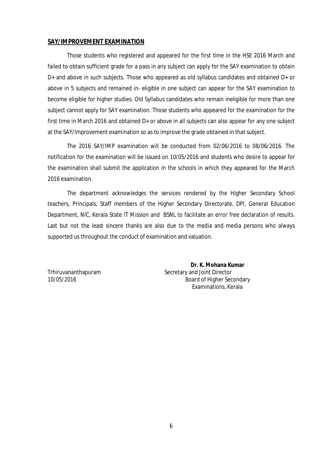### **SAY/IMPROVEMENT EXAMINATION**

Those students who registered and appeared for the first time in the HSE 2016 March and failed to obtain sufficient grade for a pass in any subject can apply for the SAY examination to obtain D+ and above in such subjects. Those who appeared as old syllabus candidates and obtained D+ or above in 5 subjects and remained in- eligible in one subject can appear for the SAY examination to become eligible for higher studies. Old Syllabus candidates who remain ineligible for more than one subject cannot apply for SAY examination. Those students who appeared for the examination for the first time in March 2016 and obtained D+ or above in all subjects can also appear for any one subject at the SAY/Improvement examination so as to improve the grade obtained in that subject.

The 2016 SAY/IMP examination will be conducted from 02/06/2016 to 08/06/2016. The notification for the examination will be issued on 10/05/2016 and students who desire to appear for the examination shall submit the application in the schools in which they appeared for the March 2016 examination.

The department acknowledges the services rendered by the Higher Secondary School teachers, Principals, Staff members of the Higher Secondary Directorate, DPI, General Education Department, NIC, Kerala State IT Mission and BSNL to facilitate an error free declaration of results. Last but not the least sincere thanks are also due to the media and media persons who always supported us throughout the conduct of examination and valuation.

 **Dr. K. Mohana Kumar** Trhiruvananthapuram Secretary and Joint Director 10/05/2016 Board of Higher Secondary Examinations, Kerala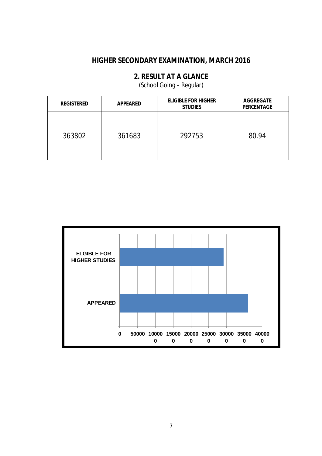# **2. RESULT AT A GLANCE**

(School Going – Regular)

| <b>REGISTERED</b> | <b>APPEARED</b> | <b>ELIGIBLE FOR HIGHER</b><br><b>STUDIES</b> | <b>AGGREGATE</b><br><b>PERCENTAGE</b> |
|-------------------|-----------------|----------------------------------------------|---------------------------------------|
| 363802            | 361683          | 292753                                       | 80.94                                 |

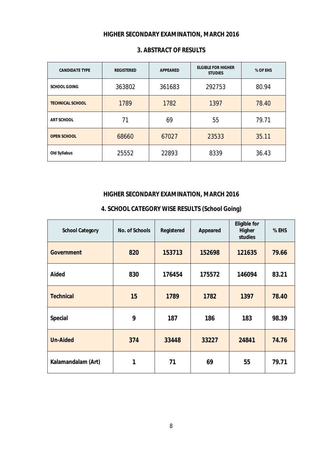| <b>CANDIDATE TYPE</b>   | <b>REGISTERED</b> | <b>APPEARED</b> | <b>ELGIBLE FOR HIGHER</b><br><b>STUDIES</b> | % OF EHS |
|-------------------------|-------------------|-----------------|---------------------------------------------|----------|
| <b>SCHOOL GOING</b>     | 363802            | 361683          | 292753                                      | 80.94    |
| <b>TECHNICAL SCHOOL</b> | 1789              | 1782            | 1397                                        | 78.40    |
| <b>ART SCHOOL</b>       | 71                | 69              | 55                                          | 79.71    |
| <b>OPEN SCHOOL</b>      | 68660             | 67027           | 23533                                       | 35.11    |
| <b>Old Syllabus</b>     | 25552             | 22893           | 8339                                        | 36.43    |

## **3. ABSTRACT OF RESULTS**

# **HIGHER SECONDARY EXAMINATION, MARCH 2016**

| <b>School Category</b> | <b>No. of Schools</b> | Registered | Appeared | <b>Eligible for</b><br>Higher<br>studies | % EHS |
|------------------------|-----------------------|------------|----------|------------------------------------------|-------|
| <b>Government</b>      | 820                   | 153713     | 152698   | 121635                                   | 79.66 |
| Aided                  | 830                   | 176454     | 175572   | 146094                                   | 83.21 |
| <b>Technical</b>       | 15                    | 1789       | 1782     | 1397                                     | 78.40 |
| <b>Special</b>         | 9                     | 187        | 186      | 183                                      | 98.39 |
| <b>Un-Aided</b>        | 374                   | 33448      | 33227    | 24841                                    | 74.76 |
| Kalamandalam (Art)     | 1                     | 71         | 69       | 55                                       | 79.71 |

# **4. SCHOOL CATEGORY WISE RESULTS (School Going)**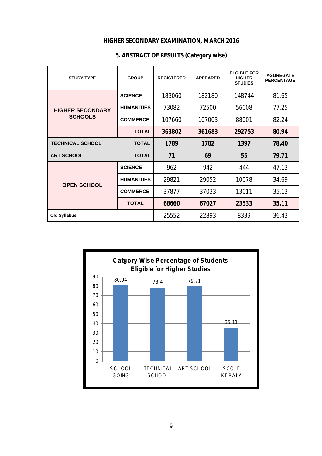| <b>STUDY TYPE</b>       | <b>GROUP</b>      | <b>REGISTERED</b> | <b>APPEARED</b> | <b>ELGIBLE FOR</b><br><b>HIGHER</b><br><b>STUDIES</b> | <b>AGGREGATE</b><br><b>PERCENTAGE</b> |
|-------------------------|-------------------|-------------------|-----------------|-------------------------------------------------------|---------------------------------------|
|                         | <b>SCIENCE</b>    | 183060            | 182180          | 148744                                                | 81.65                                 |
| <b>HIGHER SECONDARY</b> | <b>HUMANITIES</b> | 73082             | 72500           | 56008                                                 | 77.25                                 |
| <b>SCHOOLS</b>          | <b>COMMERCE</b>   | 107660            | 107003          | 88001                                                 | 82.24                                 |
|                         | <b>TOTAL</b>      | 363802            | 361683          | 292753                                                | 80.94                                 |
| <b>TECHNICAL SCHOOL</b> | <b>TOTAL</b>      | 1789              | 1782            | 1397                                                  | 78.40                                 |
| <b>ART SCHOOL</b>       | <b>TOTAL</b>      | 71                | 69              | 55                                                    | 79.71                                 |
|                         | <b>SCIENCE</b>    | 962               | 942             | 444                                                   | 47.13                                 |
| <b>OPEN SCHOOL</b>      | <b>HUMANITIES</b> | 29821             | 29052           | 10078                                                 | 34.69                                 |
|                         | <b>COMMERCE</b>   | 37877             | 37033           | 13011                                                 | 35.13                                 |
|                         | <b>TOTAL</b>      | 68660             | 67027           | 23533                                                 | 35.11                                 |
| <b>Old Syllabus</b>     |                   | 25552             | 22893           | 8339                                                  | 36.43                                 |

# **5. ABSTRACT OF RESULTS (Category wise)**

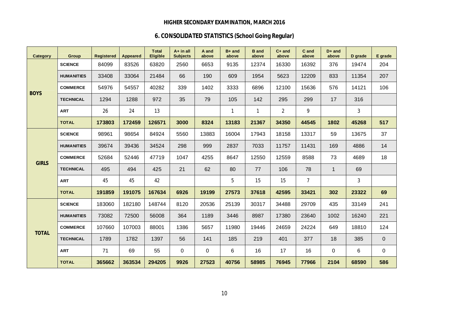# **6. CONSOLIDATED STATISTICS (School Going Regular)**

| Category     | <b>Group</b>      | <b>Registered</b> | <b>Appeared</b> | <b>Total</b><br><b>Eligible</b> | $A+$ in all<br><b>Subjects</b> | A and<br>above | $B+$ and<br>above | <b>B</b> and<br>above | $C+$ and<br>above | C and<br>above | $D+$ and<br>above | D grade      | E grade     |
|--------------|-------------------|-------------------|-----------------|---------------------------------|--------------------------------|----------------|-------------------|-----------------------|-------------------|----------------|-------------------|--------------|-------------|
|              | <b>SCIENCE</b>    | 84099             | 83526           | 63820                           | 2560                           | 6653           | 9135              | 12374                 | 16330             | 16392          | 376               | 19474        | 204         |
|              | <b>HUMANITIES</b> | 33408             | 33064           | 21484                           | 66                             | 190            | 609               | 1954                  | 5623              | 12209          | 833               | 11354        | 207         |
|              | <b>COMMERCE</b>   | 54976             | 54557           | 40282                           | 339                            | 1402           | 3333              | 6896                  | 12100             | 15636          | 576               | 14121        | 106         |
| <b>BOYS</b>  | <b>TECHNICAL</b>  | 1294              | 1288            | 972                             | 35                             | 79             | 105               | 142                   | 295               | 299            | 17                | 316          |             |
|              | <b>ART</b>        | 26                | 24              | 13                              |                                |                | $\mathbf{1}$      | $\mathbf{1}$          | $\overline{2}$    | 9              |                   | $\mathbf{3}$ |             |
|              | <b>TOTAL</b>      | 173803            | 172459          | 126571                          | 3000                           | 8324           | 13183             | 21367                 | 34350             | 44545          | 1802              | 45268        | 517         |
|              | <b>SCIENCE</b>    | 98961             | 98654           | 84924                           | 5560                           | 13883          | 16004             | 17943                 | 18158             | 13317          | 59                | 13675        | 37          |
|              | <b>HUMANITIES</b> | 39674             | 39436           | 34524                           | 298                            | 999            | 2837              | 7033                  | 11757             | 11431          | 169               | 4886         | 14          |
| <b>GIRLS</b> | <b>COMMERCE</b>   | 52684             | 52446           | 47719                           | 1047                           | 4255           | 8647              | 12550                 | 12559             | 8588           | 73                | 4689         | 18          |
|              | <b>TECHNICAL</b>  | 495               | 494             | 425                             | 21                             | 62             | 80                | 77                    | 106               | 78             | $\mathbf{1}$      | 69           |             |
|              | <b>ART</b>        | 45                | 45              | 42                              |                                |                | 5                 | 15                    | 15                | $\overline{7}$ |                   | 3            |             |
|              | <b>TOTAL</b>      | 191859            | 191075          | 167634                          | 6926                           | 19199          | 27573             | 37618                 | 42595             | 33421          | 302               | 23322        | 69          |
|              | <b>SCIENCE</b>    | 183060            | 182180          | 148744                          | 8120                           | 20536          | 25139             | 30317                 | 34488             | 29709          | 435               | 33149        | 241         |
|              | <b>HUMANITIES</b> | 73082             | 72500           | 56008                           | 364                            | 1189           | 3446              | 8987                  | 17380             | 23640          | 1002              | 16240        | 221         |
| <b>TOTAL</b> | <b>COMMERCE</b>   | 107660            | 107003          | 88001                           | 1386                           | 5657           | 11980             | 19446                 | 24659             | 24224          | 649               | 18810        | 124         |
|              | <b>TECHNICAL</b>  | 1789              | 1782            | 1397                            | 56                             | 141            | 185               | 219                   | 401               | 377            | 18                | 385          | $\mathbf 0$ |
|              | <b>ART</b>        | 71                | 69              | 55                              | 0                              | $\mathbf 0$    | 6                 | 16                    | 17                | 16             | 0                 | 6            | $\mathbf 0$ |
|              | <b>TOTAL</b>      | 365662            | 363534          | 294205                          | 9926                           | 27523          | 40756             | 58985                 | 76945             | 77966          | 2104              | 68590        | 586         |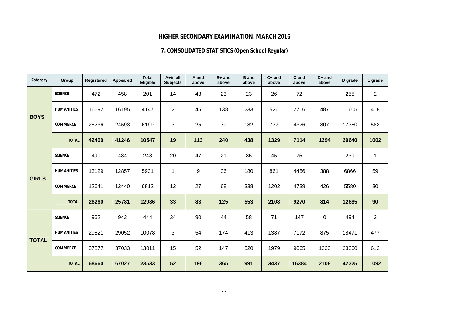# **7. CONSOLIDATED STATISTICS (Open School Regular)**

| Category     | Group             | <b>Registered</b> | Appeared | <b>Total</b><br>Eligible | A+in all<br><b>Subjects</b> | A and<br>above | $B+$ and<br>above | <b>B</b> and<br>above | $C+$ and<br>above | C and<br>above | $D+$ and<br>above | D grade | E grade        |
|--------------|-------------------|-------------------|----------|--------------------------|-----------------------------|----------------|-------------------|-----------------------|-------------------|----------------|-------------------|---------|----------------|
|              | <b>SCIENCE</b>    | 472               | 458      | 201                      | 14                          | 43             | 23                | 23                    | 26                | 72             |                   | 255     | $\overline{2}$ |
| <b>BOYS</b>  | <b>HUMANITIES</b> | 16692             | 16195    | 4147                     | $\overline{c}$              | 45             | 138               | 233                   | 526               | 2716           | 487               | 11605   | 418            |
|              | <b>COMMERCE</b>   | 25236             | 24593    | 6199                     | 3                           | 25             | 79                | 182                   | 777               | 4326           | 807               | 17780   | 582            |
|              | <b>TOTAL</b>      | 42400             | 41246    | 10547                    | 19                          | 113            | 240               | 438                   | 1329              | 7114           | 1294              | 29640   | 1002           |
|              | <b>SCIENCE</b>    | 490               | 484      | 243                      | 20                          | 47             | 21                | 35                    | 45                | 75             |                   | 239     | 1              |
| <b>GIRLS</b> | <b>HUMANITIES</b> | 13129             | 12857    | 5931                     | 1                           | 9              | 36                | 180                   | 861               | 4456           | 388               | 6866    | 59             |
|              | <b>COMMERCE</b>   | 12641             | 12440    | 6812                     | 12                          | 27             | 68                | 338                   | 1202              | 4739           | 426               | 5580    | 30             |
|              | <b>TOTAL</b>      | 26260             | 25781    | 12986                    | 33                          | 83             | 125               | 553                   | 2108              | 9270           | 814               | 12685   | 90             |
|              | <b>SCIENCE</b>    | 962               | 942      | 444                      | 34                          | 90             | 44                | 58                    | 71                | 147            | 0                 | 494     | 3              |
| <b>TOTAL</b> | <b>HUMANITIES</b> | 29821             | 29052    | 10078                    | 3                           | 54             | 174               | 413                   | 1387              | 7172           | 875               | 18471   | 477            |
|              | <b>COMMERCE</b>   | 37877             | 37033    | 13011                    | 15                          | 52             | 147               | 520                   | 1979              | 9065           | 1233              | 23360   | 612            |
|              | <b>TOTAL</b>      | 68660             | 67027    | 23533                    | 52                          | 196            | 365               | 991                   | 3437              | 16384          | 2108              | 42325   | 1092           |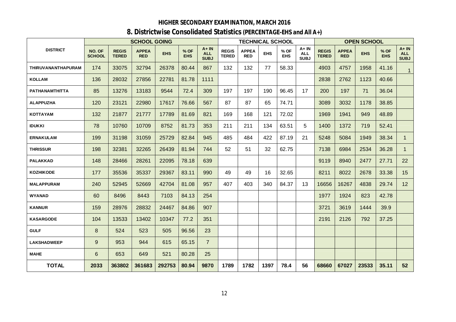# **8. Districtwise Consolidated Statistics (PERCENTAGE-EHS and All A+)**

|                    |                         |                              | <b>SCHOOL GOING</b>        |            |                    |                                       |                              | <b>TECHNICAL SCHOOL</b>    |            |                    |                                   |                              |                            | <b>OPEN SCHOOL</b> |                    |                                       |
|--------------------|-------------------------|------------------------------|----------------------------|------------|--------------------|---------------------------------------|------------------------------|----------------------------|------------|--------------------|-----------------------------------|------------------------------|----------------------------|--------------------|--------------------|---------------------------------------|
| <b>DISTRICT</b>    | NO. OF<br><b>SCHOOL</b> | <b>REGIS</b><br><b>TERED</b> | <b>APPEA</b><br><b>RED</b> | <b>EHS</b> | % OF<br><b>EHS</b> | $A + IN$<br><b>ALL</b><br><b>SUBJ</b> | <b>REGIS</b><br><b>TERED</b> | <b>APPEA</b><br><b>RED</b> | <b>EHS</b> | % OF<br><b>EHS</b> | A+IN<br><b>ALL</b><br><b>SUBJ</b> | <b>REGIS</b><br><b>TERED</b> | <b>APPEA</b><br><b>RED</b> | <b>EHS</b>         | % OF<br><b>EHS</b> | $A + IN$<br><b>ALL</b><br><b>SUBJ</b> |
| THIRUVANANTHAPURAM | 174                     | 33075                        | 32794                      | 26378      | 80.44              | 867                                   | 132                          | 132                        | 77         | 58.33              |                                   | 4903                         | 4757                       | 1958               | 41.16              | 1                                     |
| <b>KOLLAM</b>      | 136                     | 28032                        | 27856                      | 22781      | 81.78              | 1111                                  |                              |                            |            |                    |                                   | 2838                         | 2762                       | 1123               | 40.66              |                                       |
| PATHANAMTHITTA     | 85                      | 13276                        | 13183                      | 9544       | 72.4               | 309                                   | 197                          | 197                        | 190        | 96.45              | 17                                | 200                          | 197                        | 71                 | 36.04              |                                       |
| <b>ALAPPUZHA</b>   | 120                     | 23121                        | 22980                      | 17617      | 76.66              | 567                                   | 87                           | 87                         | 65         | 74.71              |                                   | 3089                         | 3032                       | 1178               | 38.85              |                                       |
| <b>KOTTAYAM</b>    | 132                     | 21877                        | 21777                      | 17789      | 81.69              | 821                                   | 169                          | 168                        | 121        | 72.02              |                                   | 1969                         | 1941                       | 949                | 48.89              |                                       |
| <b>IDUKKI</b>      | 78                      | 10760                        | 10709                      | 8752       | 81.73              | 353                                   | 211                          | 211                        | 134        | 63.51              | 5                                 | 1400                         | 1372                       | 719                | 52.41              |                                       |
| <b>ERNAKULAM</b>   | 199                     | 31198                        | 31059                      | 25729      | 82.84              | 945                                   | 485                          | 484                        | 422        | 87.19              | 21                                | 5248                         | 5084                       | 1949               | 38.34              | $\mathbf 1$                           |
| <b>THRISSUR</b>    | 198                     | 32381                        | 32265                      | 26439      | 81.94              | 744                                   | 52                           | 51                         | 32         | 62.75              |                                   | 7138                         | 6984                       | 2534               | 36.28              | $\mathbf 1$                           |
| <b>PALAKKAD</b>    | 148                     | 28466                        | 28261                      | 22095      | 78.18              | 639                                   |                              |                            |            |                    |                                   | 9119                         | 8940                       | 2477               | 27.71              | 22                                    |
| <b>KOZHIKODE</b>   | 177                     | 35536                        | 35337                      | 29367      | 83.11              | 990                                   | 49                           | 49                         | 16         | 32.65              |                                   | 8211                         | 8022                       | 2678               | 33.38              | 15                                    |
| <b>MALAPPURAM</b>  | 240                     | 52945                        | 52669                      | 42704      | 81.08              | 957                                   | 407                          | 403                        | 340        | 84.37              | 13                                | 16656                        | 16267                      | 4838               | 29.74              | 12 <sup>2</sup>                       |
| <b>WYANAD</b>      | 60                      | 8496                         | 8443                       | 7103       | 84.13              | 254                                   |                              |                            |            |                    |                                   | 1977                         | 1924                       | 823                | 42.78              |                                       |
| <b>KANNUR</b>      | 159                     | 28976                        | 28832                      | 24467      | 84.86              | 907                                   |                              |                            |            |                    |                                   | 3721                         | 3619                       | 1444               | 39.9               |                                       |
| <b>KASARGODE</b>   | 104                     | 13533                        | 13402                      | 10347      | 77.2               | 351                                   |                              |                            |            |                    |                                   | 2191                         | 2126                       | 792                | 37.25              |                                       |
| <b>GULF</b>        | 8                       | 524                          | 523                        | 505        | 96.56              | 23                                    |                              |                            |            |                    |                                   |                              |                            |                    |                    |                                       |
| <b>LAKSHADWEEP</b> | $\boldsymbol{9}$        | 953                          | 944                        | 615        | 65.15              | $\overline{7}$                        |                              |                            |            |                    |                                   |                              |                            |                    |                    |                                       |
| <b>MAHE</b>        | 6                       | 653                          | 649                        | 521        | 80.28              | 25                                    |                              |                            |            |                    |                                   |                              |                            |                    |                    |                                       |
| <b>TOTAL</b>       | 2033                    | 363802                       | 361683                     | 292753     | 80.94              | 9870                                  | 1789                         | 1782                       | 1397       | 78.4               | 56                                | 68660                        | 67027                      | 23533              | 35.11              | 52                                    |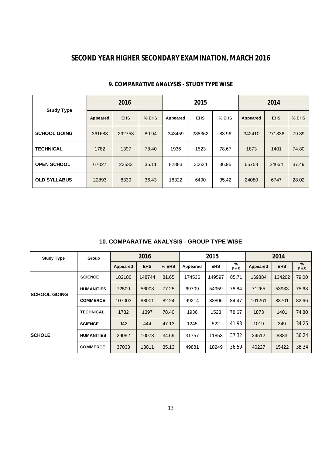# **SECOND YEAR HIGHER SECONDARY EXAMINATION, MARCH 2016**

|                     |          | 2016       |       |          | 2015       |       |          | 2014       |       |
|---------------------|----------|------------|-------|----------|------------|-------|----------|------------|-------|
| <b>Study Type</b>   | Appeared | <b>EHS</b> | % EHS | Appeared | <b>EHS</b> | % EHS | Appeared | <b>EHS</b> | % EHS |
| <b>SCHOOL GOING</b> | 361683   | 292753     | 80.94 | 343459   | 288362     | 83.96 | 342410   | 271836     | 79.39 |
| <b>TECHNICAL</b>    | 1782     | 1397       | 78.40 | 1936     | 1523       | 78.67 | 1873     | 1401       | 74.80 |
| <b>OPEN SCHOOL</b>  | 67027    | 23533      | 35.11 | 82883    | 30624      | 36.95 | 65758    | 24654      | 37.49 |
| <b>OLD SYLLABUS</b> | 22893    | 8339       | 36.43 | 18322    | 6490       | 35.42 | 24080    | 6747       | 28.02 |

### **9. COMPARATIVE ANALYSIS - STUDY TYPE WISE**

### **10. COMPARATIVE ANALYSIS - GROUP TYPE WISE**

| <b>Study Type</b>    | Group             |          | 2016       |       |          | 2015       |                 |          | 2014       |                 |
|----------------------|-------------------|----------|------------|-------|----------|------------|-----------------|----------|------------|-----------------|
|                      |                   | Appeared | <b>EHS</b> | % EHS | Appeared | <b>EHS</b> | %<br><b>EHS</b> | Appeared | <b>EHS</b> | %<br><b>EHS</b> |
|                      | <b>SCIENCE</b>    | 182180   | 148744     | 81.65 | 174536   | 149597     | 85.71           | 169884   | 134202     | 79.00           |
|                      | <b>HUMANITIES</b> | 72500    | 56008      | 77.25 | 69709    | 54959      | 78.84           | 71265    | 53933      | 75.68           |
|                      | <b>COMMERCE</b>   | 107003   | 88001      | 82.24 | 99214    | 83806      | 84.47           | 101261   | 83701      | 82.66           |
|                      | <b>TECHNICAL</b>  | 1782     | 1397       | 78.40 | 1936     | 1523       | 78.67           | 1873     | 1401       | 74.80           |
|                      | <b>SCIENCE</b>    | 942      | 444        | 47.13 | 1245     | 522        | 41.93           | 1019     | 349        | 34.25           |
| <b>SCHOLE</b>        | <b>HUMANITIES</b> | 29052    | 10078      | 34.69 | 31757    | 11853      | 37.32           | 24512    | 8883       | 36.24           |
| <b>ISCHOOL GOING</b> | <b>COMMERCE</b>   | 37033    | 13011      | 35.13 | 49881    | 18249      | 36.59           | 40227    | 15422      | 38.34           |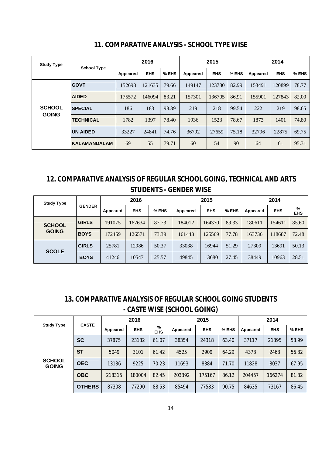| <b>Study Type</b> |                    |          | 2016       |       |          | 2015       |       | 2014     |            |       |  |
|-------------------|--------------------|----------|------------|-------|----------|------------|-------|----------|------------|-------|--|
|                   | <b>School Type</b> | Appeared | <b>EHS</b> | % EHS | Appeared | <b>EHS</b> | % EHS | Appeared | <b>EHS</b> | % EHS |  |
|                   | <b>GOVT</b>        | 152698   | 121635     | 79.66 | 149147   | 123780     | 82.99 | 153491   | 120899     | 78.77 |  |
|                   | <b>AIDED</b>       | 175572   | 146094     | 83.21 | 157301   | 136705     | 86.91 | 155901   | 127843     | 82.00 |  |
| <b>SCHOOL</b>     | <b>SPECIAL</b>     | 186      | 183        | 98.39 | 219      | 218        | 99.54 | 222      | 219        | 98.65 |  |
| <b>GOING</b>      | <b>TECHNICAL</b>   | 1782     | 1397       | 78.40 | 1936     | 1523       | 78.67 | 1873     | 1401       | 74.80 |  |
|                   | <b>UN AIDED</b>    | 33227    | 24841      | 74.76 | 36792    | 27659      | 75.18 | 32796    | 22875      | 69.75 |  |
|                   | KALAMANDALAM       | 69       | 55         | 79.71 | 60       | 54         | 90    | 64       | 61         | 95.31 |  |

# **11. COMPARATIVE ANALYSIS - SCHOOL TYPE WISE**

# **12. COMPARATIVE ANALYSIS OF REGULAR SCHOOL GOING, TECHNICAL AND ARTS STUDENTS - GENDER WISE**

| <b>Study Type</b> |               |          | 2016       |       |          | 2015       |       | 2014     |            |                 |  |
|-------------------|---------------|----------|------------|-------|----------|------------|-------|----------|------------|-----------------|--|
|                   | <b>GENDER</b> | Appeared | <b>EHS</b> | % EHS | Appeared | <b>EHS</b> | % EHS | Appeared | <b>EHS</b> | %<br><b>EHS</b> |  |
| <b>SCHOOL</b>     | <b>GIRLS</b>  | 191075   | 167634     | 87.73 | 184012   | 164370     | 89.33 | 180611   | 154611     | 85.60           |  |
| <b>GOING</b>      | <b>BOYS</b>   | 172459   | 126571     | 73.39 | 161443   | 125569     | 77.78 | 163736   | 118687     | 72.48           |  |
| <b>SCOLE</b>      | <b>GIRLS</b>  | 25781    | 12986      | 50.37 | 33038    | 16944      | 51.29 | 27309    | 13691      | 50.13           |  |
|                   | <b>BOYS</b>   | 41246    | 10547      | 25.57 | 49845    | 13680      | 27.45 | 38449    | 10963      | 28.51           |  |

# **13. COMPARATIVE ANALYSIS OF REGULAR SCHOOL GOING STUDENTS - CASTE WISE (SCHOOL GOING)**

|                               |               |          | 2016       |                 |          | 2015       |       | 2014     |            |       |  |
|-------------------------------|---------------|----------|------------|-----------------|----------|------------|-------|----------|------------|-------|--|
| <b>Study Type</b>             | <b>CASTE</b>  | Appeared | <b>EHS</b> | %<br><b>EHS</b> | Appeared | <b>EHS</b> | % EHS | Appeared | <b>EHS</b> | % EHS |  |
|                               | <b>SC</b>     | 37875    | 23132      | 61.07           | 38354    | 24318      | 63.40 | 37117    | 21895      | 58.99 |  |
|                               | <b>ST</b>     | 5049     | 3101       | 61.42           | 4525     | 2909       | 64.29 | 4373     | 2463       | 56.32 |  |
| <b>SCHOOL</b><br><b>GOING</b> | <b>OEC</b>    | 13136    | 9225       | 70.23           | 11693    | 8384       | 71.70 | 11828    | 8037       | 67.95 |  |
|                               | <b>OBC</b>    | 218315   | 180004     | 82.45           | 203392   | 175167     | 86.12 | 204457   | 166274     | 81.32 |  |
|                               | <b>OTHERS</b> | 87308    | 77290      | 88.53           | 85494    | 77583      | 90.75 | 84635    | 73167      | 86.45 |  |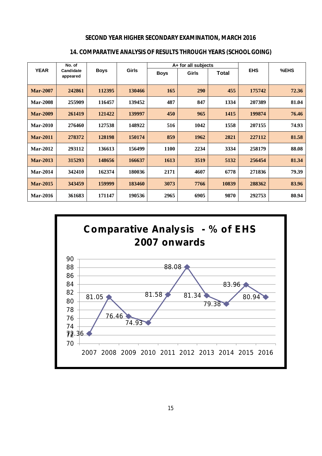### **SECOND YEAR HIGHER SECONDARY EXAMINATION, MARCH 2016**

|                 | No. of                |             |              |             | A+ for all subjects |       |            |       |  |
|-----------------|-----------------------|-------------|--------------|-------------|---------------------|-------|------------|-------|--|
| <b>YEAR</b>     | Candidate<br>appeared | <b>Boys</b> | <b>Girls</b> | <b>Boys</b> | Girls               | Total | <b>EHS</b> | %EHS  |  |
| <b>Mar-2007</b> | 242861                | 112395      | 130466       | 165         | 290                 | 455   | 175742     | 72.36 |  |
| <b>Mar-2008</b> | 255909                | 116457      | 139452       | 487         | 847                 | 1334  | 207389     | 81.04 |  |
| <b>Mar-2009</b> | 261419                | 121422      | 139997       | 450         | 965                 | 1415  | 199874     | 76.46 |  |
| <b>Mar-2010</b> | 276460                | 127538      | 148922       | 516         | 1042                | 1558  | 207155     | 74.93 |  |
| <b>Mar-2011</b> | 278372                | 128198      | 150174       | 859         | 1962                | 2821  | 227112     | 81.58 |  |
| <b>Mar-2012</b> | 293112                | 136613      | 156499       | <b>1100</b> | 2234                | 3334  | 258179     | 88.08 |  |
| <b>Mar-2013</b> | 315293                | 148656      | 166637       | 1613        | 3519                | 5132  | 256454     | 81.34 |  |
| <b>Mar-2014</b> | 342410                | 162374      | 180036       | 2171        | 4607                | 6778  | 271836     | 79.39 |  |
| <b>Mar-2015</b> | 343459                | 159999      | 183460       | 3073        | 7766                | 10839 | 288362     | 83.96 |  |
| <b>Mar-2016</b> | 361683                | 171147      | 190536       | 2965        | 6905                | 9870  | 292753     | 80.94 |  |

## **14. COMPARATIVE ANALYSIS OF RESULTS THROUGH YEARS (SCHOOL GOING)**

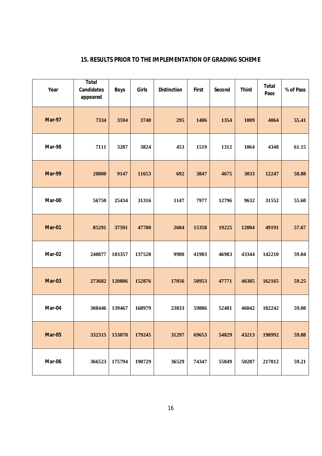| Year          | <b>Total</b><br><b>Candidates</b><br>appeared | <b>Boys</b> | Girls  | <b>Distinction</b> | <b>First</b> | Second | <b>Third</b> | <b>Total</b><br>Pass | % of Pass |
|---------------|-----------------------------------------------|-------------|--------|--------------------|--------------|--------|--------------|----------------------|-----------|
| <b>Mar-97</b> | 7334                                          | 3594        | 3740   | 295                | 1406         | 1354   | 1009         | 4064                 | 55.41     |
| Mar-98        | 7111                                          | 3287        | 3824   | 453                | 1519         | 1312   | 1064         | 4348                 | 61.15     |
| Mar-99        | 20800                                         | 9147        | 11653  | 692                | 3847         | 4675   | 3033         | 12247                | 58.88     |
| Mar-00        | 56750                                         | 25434       | 31316  | 1147               | 7977         | 12796  | 9632         | 31552                | 55.60     |
| <b>Mar-01</b> | 85291                                         | 37591       | 47700  | 2604               | 15358        | 19225  | 12004        | 49191                | 57.67     |
| Mar-02        | 240877                                        | 103357      | 137520 | 9980               | 41903        | 46983  | 43344        | 142210               | 59.04     |
| <b>Mar-03</b> | 273682                                        | 120806      | 152876 | 17056              | 50953        | 47771  | 46385        | 162165               | 59.25     |
| Mar-04        | 308446                                        | 139467      | 168979 | 23833              | 59886        | 52481  | 46042        | 182242               | 59.08     |
| <b>Mar-05</b> | 332315                                        | 153070      | 179245 | 31297              | 69653        | 54829  | 43213        | 198992               | 59.88     |
| Mar-06        | 366523                                        | 175794      | 190729 | 36529              | 74347        | 55849  | 50287        | 217012               | 59.21     |

# **15. RESULTS PRIOR TO THE IMPLEMENTATION OF GRADING SCHEME**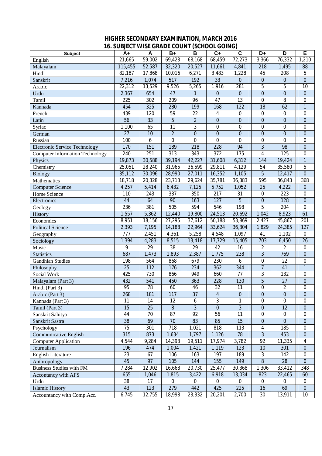### **HIGHER SECONDARY EXAMINATION, MARCH 2016 16. SUBJECT WISE GRADE COUNT (SCHOOL GOING)**

|                                        |                 | טועוט           | $\sim$         | 1991 I Y        | uunu,            |                  |                  |                  |                  |
|----------------------------------------|-----------------|-----------------|----------------|-----------------|------------------|------------------|------------------|------------------|------------------|
| Subject                                | $A+$            | A               | $B+$           | B               | $C+$             | $\mathbf c$      | D+               | D                | E                |
| English                                | 21,665          | 59,002          | 69,423         | 68,168          | 68,459           | 72,273           | 3,366            | 76,332           | 1,210            |
| Malayalam                              | 115,455         | 52,587          | 32,320         | 20,527          | 11,661           | 4,841            | 218              | 1,495            | 88               |
| Hindi                                  | 82,187          | 17,868          | 10,016         | 6,271           | 3,483            | 1,228            | 45               | 208              | 5                |
| Sanskrit                               | 7,216           | 1,074           | 517            | 192             | 33               | $\mathbf 0$      | $\overline{0}$   | $\pmb{0}$        | $\mathbf{0}$     |
| Arabic                                 | 22,312          | 13,529          | 9,526          | 5,265           | 1,916            | 281              | 5                | 5                | 10               |
| Urdu                                   | 2,367           | 654             | 47             | $\mathbf{1}$    | $\mathbf 0$      | $\mathbf{0}$     | $\overline{0}$   | $\overline{0}$   | $\mathbf{0}$     |
| Tamil                                  | 225             | 302             | 209            | 96              | 47               | $\overline{13}$  | $\mathbf 0$      | 8                | $\boldsymbol{0}$ |
| Kannada                                | 454             | 325             | 280            | 199             | 168              | 122              | $\overline{18}$  | 62               | $\mathbf{1}$     |
| French                                 | 439             | 120             | 59             | 22              | 4                | $\boldsymbol{0}$ | $\boldsymbol{0}$ | $\boldsymbol{0}$ | $\boldsymbol{0}$ |
| Latin                                  | $\overline{56}$ | 33              | $\overline{5}$ | $\overline{2}$  | $\mathbf 0$      | $\mathbf{0}$     | $\overline{0}$   | $\mathbf 0$      | $\boldsymbol{0}$ |
| Syriac                                 | 1,100           | 65              | 11             | 3               | $\mathbf 0$      | $\boldsymbol{0}$ | $\boldsymbol{0}$ | $\boldsymbol{0}$ | $\boldsymbol{0}$ |
| German                                 | $\overline{27}$ | 10              | $\overline{2}$ | $\overline{0}$  | $\mathbf 0$      | $\boldsymbol{0}$ | $\boldsymbol{0}$ | $\boldsymbol{0}$ | $\boldsymbol{0}$ |
| Russian                                | 100             | 6               | $\mathbf 0$    | $\mathbf 0$     | $\mathbf 0$      | $\mathbf 0$      | $\mathbf 0$      | $\mathbf 0$      | $\boldsymbol{0}$ |
| <b>Electronic Service Technology</b>   | 170             | 151             | 189            | 218             | 228              | 94               | $\overline{3}$   | 98               | $\mathbf{0}$     |
| <b>Computer Information Technology</b> | 240             | 251             | 313            | 343             | $\overline{372}$ | 175              | $\overline{4}$   | 125              | $\mathbf 0$      |
| Physics                                | 19,873          | 30,588          | 39,194         | 42,227          | 31,608           | 6,312            | 144              | 19,424           | $\mathbf{1}$     |
| Chemistry                              | 25,051          | 28,240          | 31,965         | 36,599          | 29,811           | 4,129            | 54               | 35,580           | 5                |
| <b>Biology</b>                         | 35,112          | 30,096          | 28,990         | 27,011          | 16,352           | 1,105            | $\overline{5}$   | 12,417           | $\overline{0}$   |
| Mathematics                            | 18,718          | 20,328          | 23,713         | 29,624          | 35,781           | 36,383           | 595              | 36,843           | 368              |
| <b>Computer Science</b>                | 4,257           | 5,414           | 6,432          | 7,125           | 5,752            | 1,052            | 25               | 4,222            | $\boldsymbol{0}$ |
| Home Science                           | 110             | 243             | 337            | 350             | 217              | 31               | $\boldsymbol{0}$ | 223              | $\boldsymbol{0}$ |
| Electronics                            | 44              | 64              | 90             | 163             | 127              | $\overline{5}$   | $\overline{0}$   | 128              | $\boldsymbol{0}$ |
| Geology                                | 236             | 381             | 505            | 594             | 546              | 198              | 5                | 204              | $\mathbf 0$      |
| History                                | 1,557           | 5,362           | 12,440         | 19,800          | 24,513           | 20,692           | 1,042            | 8,923            | 61               |
| Economics                              | 8,951           | 18,156          | 27,295         | 37,612          | 50,188           | 53,869           | 2,427            | 45,867           | 201              |
| <b>Political Science</b>               | 2,393           | 7,195           | 14,188         | 22,964          | 33,624           | 36,304           | 1,829            | 24,385           | 127              |
| Geography                              | 777             | 2,451           | 4,361          | 5,258           | 4,548            | 1,097            | 41               | 1,102            | $\boldsymbol{0}$ |
| Sociology                              | 1,394           | 4,283           | 8,515          | 13,418          | 17,729           | 15,405           | 703              | 6,450            | 26               |
| Music                                  | 9               | 29              | 38             | 29              | 42               | 16               | $\overline{2}$   | $\overline{2}$   | $\boldsymbol{0}$ |
| <b>Statistics</b>                      | 687             | 1,473           | 1,893          | 2,387           | 1,775            | 238              | $\overline{3}$   | 769              | $\mathbf{0}$     |
| <b>Gandhian Studies</b>                | 198             | 564             | 868            | 679             | 230              | 6                | 0                | 22               | $\mathbf 0$      |
| Philosophy                             | 25              | 112             | 176            | 234             | 362              | 344              | $\overline{7}$   | 41               | $\mathbf{1}$     |
| Social Work                            | 425             | 730             | 866            | 949             | 660              | $\overline{77}$  | $\overline{3}$   | 132              | $\mathbf 0$      |
| Malayalam (Part 3)                     | 432             | 541             | 450            | 363             | 228              | 130              | $\overline{5}$   | $\overline{27}$  | $\boldsymbol{0}$ |
| Hindi (Part 3)                         | $\overline{95}$ | $\overline{78}$ | 60             | 46              | $\overline{32}$  | 11               | 0                | $\overline{2}$   | $\overline{0}$   |
| Arabic (Part 3)                        | 268             | 181             | 117            | 37              | $\overline{4}$   | $\boldsymbol{0}$ | $\pmb{0}$        | $\pmb{0}$        | $\overline{0}$   |
| Kannada (Part 3)                       | 11              | 14              | 12             | 6               | $\overline{3}$   | 1                | $\overline{0}$   | $\overline{0}$   | $\overline{0}$   |
| Tamil (Part 3)                         | 15              | $\overline{25}$ | $\, 8$         | $\overline{3}$  | $\mathbf 0$      | $\overline{3}$   | $\overline{0}$   | 12               | $\mathbf{0}$     |
| Sanskrit Sahitya                       | 44              | 70              | 87             | $\overline{92}$ | 56               | 11               | $\mathbf 0$      | $\boldsymbol{0}$ | $\mathbf 0$      |
| Sanskrit Sastra                        | 38              | 69              | 70             | 83              | 85               | 15               | $\boldsymbol{0}$ | $\overline{0}$   | $\boldsymbol{0}$ |
| Psychology                             | 75              | 301             | 718            | 1,021           | 818              | 113              | 4                | 185              | $\boldsymbol{0}$ |
| <b>Communicative English</b>           | 315             | 873             | 1,634          | 1,797           | 1,126            | 78               | $\overline{3}$   | 453              | $\boldsymbol{0}$ |
| <b>Computer Application</b>            | 4,544           | 9,284           | 14,393         | 19,511          | 17,974           | 3,782            | 92               | 11,335           | 4                |
| Journalism                             | 196             | 474             | 1,004          | 1,421           | 1,119            | 123              | 10               | 301              | $\mathbf{0}$     |
| English Literature                     | 23              | 67              | 106            | 163             | 197              | 189              | 3                | 142              | $\boldsymbol{0}$ |
| Anthropology                           | 45              | 97              | 105            | 144             | 155              | 149              | $\overline{8}$   | 28               | $\mathbf{0}$     |
| <b>Business Studies with FM</b>        | 7,284           | 12,902          | 16,668         | 20,730          | 25,477           | 30,368           | 1,306            | 33,412           | 348              |
| Accontancy with AFS                    | 655             | 1,046           | 1,815          | 3,422           | 6,918            | 13,034           | 823              | 22,465           | 60               |
| Urdu                                   | 38              | 17              | $\overline{0}$ | 0               | $\mathbf 0$      | 0                | 0                | $\overline{0}$   | $\mathbf 0$      |
| <b>Islamic History</b>                 | 43              | 123             | 279            | 442             | 425              | 225              | 16               | 69               | $\boldsymbol{0}$ |
| Accountancy with Comp.Acc.             | 6,745           | 12,755          | 18,998         | 23,332          | 20,201           | 2,700            | 30               | 13,911           | 10               |
|                                        |                 |                 |                |                 |                  |                  |                  |                  |                  |